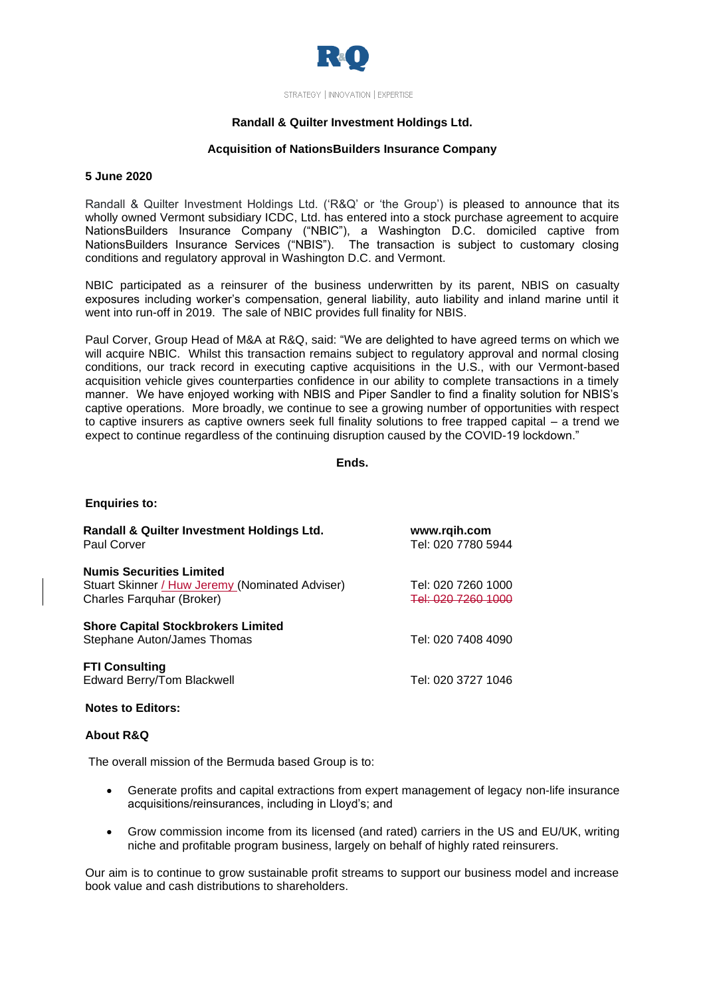

STRATEGY | INNOVATION | EXPERTISE

## **Randall & Quilter Investment Holdings Ltd.**

## **Acquisition of NationsBuilders Insurance Company**

### **5 June 2020**

Randall & Quilter Investment Holdings Ltd. ('R&Q' or 'the Group') is pleased to announce that its wholly owned Vermont subsidiary ICDC, Ltd. has entered into a stock purchase agreement to acquire NationsBuilders Insurance Company ("NBIC"), a Washington D.C. domiciled captive from NationsBuilders Insurance Services ("NBIS"). The transaction is subject to customary closing conditions and regulatory approval in Washington D.C. and Vermont.

NBIC participated as a reinsurer of the business underwritten by its parent, NBIS on casualty exposures including worker's compensation, general liability, auto liability and inland marine until it went into run-off in 2019. The sale of NBIC provides full finality for NBIS.

Paul Corver, Group Head of M&A at R&Q, said: "We are delighted to have agreed terms on which we will acquire NBIC. Whilst this transaction remains subject to regulatory approval and normal closing conditions, our track record in executing captive acquisitions in the U.S., with our Vermont-based acquisition vehicle gives counterparties confidence in our ability to complete transactions in a timely manner. We have enjoyed working with NBIS and Piper Sandler to find a finality solution for NBIS's captive operations. More broadly, we continue to see a growing number of opportunities with respect to captive insurers as captive owners seek full finality solutions to free trapped capital – a trend we expect to continue regardless of the continuing disruption caused by the COVID-19 lockdown."

## **Ends.**

| Randall & Quilter Investment Holdings Ltd.<br><b>Paul Corver</b>                                                | www.rqih.com<br>Tel: 020 7780 5944      |
|-----------------------------------------------------------------------------------------------------------------|-----------------------------------------|
| <b>Numis Securities Limited</b><br>Stuart Skinner / Huw Jeremy (Nominated Adviser)<br>Charles Farquhar (Broker) | Tel: 020 7260 1000<br>Tel: 020 7260 100 |
| <b>Shore Capital Stockbrokers Limited</b><br>Stephane Auton/James Thomas                                        | Tel: 020 7408 4090                      |
| <b>FTI Consulting</b><br>Edward Berry/Tom Blackwell                                                             | Tel: 020 3727 1046                      |

#### **Notes to Editors:**

### **About R&Q**

**Enquiries to:**

The overall mission of the Bermuda based Group is to:

- Generate profits and capital extractions from expert management of legacy non-life insurance acquisitions/reinsurances, including in Lloyd's; and
- Grow commission income from its licensed (and rated) carriers in the US and EU/UK, writing niche and profitable program business, largely on behalf of highly rated reinsurers.

Our aim is to continue to grow sustainable profit streams to support our business model and increase book value and cash distributions to shareholders.